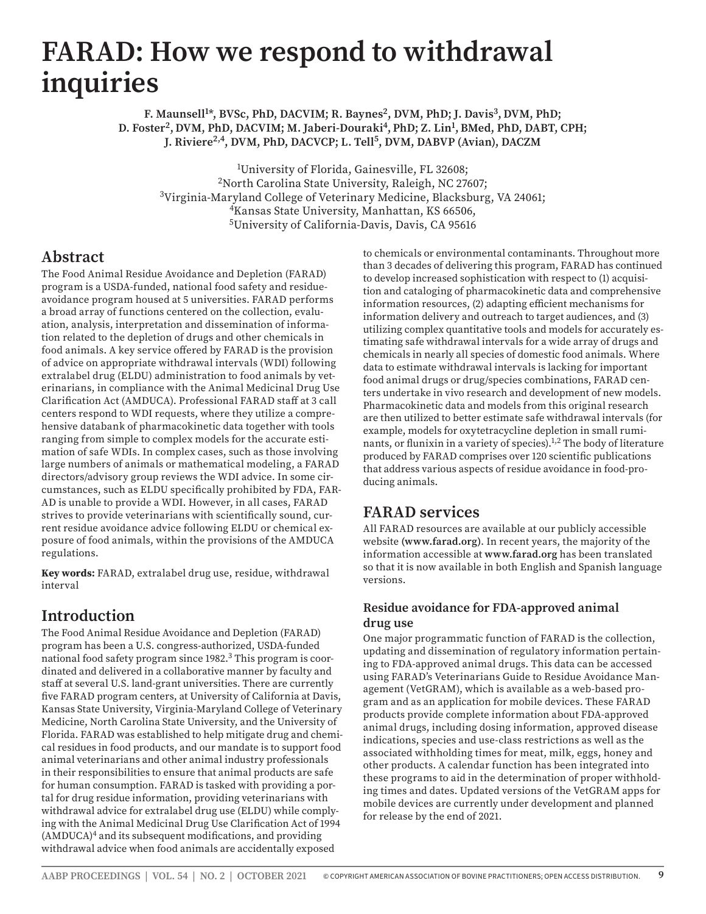# **FARAD: How we respond to withdrawal inquiries**

**F. Maunsell<sup>1\*</sup>, BVSc, PhD, DACVIM; R. Baynes<sup>2</sup>, DVM, PhD; J. Davis<sup>3</sup>, DVM, PhD; D. Foster2, DVM, PhD, DACVIM; M. Jaberi-Douraki4, PhD; Z. Lin<sup>1</sup> , BMed, PhD, DABT, CPH; J. Riviere2,4, DVM, PhD, DACVCP; L. Tell5, DVM, DABVP (Avian), DACZM**

1 University of Florida, Gainesville, FL 32608; 2North Carolina State University, Raleigh, NC 27607; 3Virginia-Maryland College of Veterinary Medicine, Blacksburg, VA 24061; 4Kansas State University, Manhattan, KS 66506, 5University of California-Davis, Davis, CA 95616

## **Abstract**

The Food Animal Residue Avoidance and Depletion (FARAD) program is a USDA-funded, national food safety and residueavoidance program housed at 5 universities. FARAD performs a broad array of functions centered on the collection, evaluation, analysis, interpretation and dissemination of information related to the depletion of drugs and other chemicals in food animals. A key service offered by FARAD is the provision of advice on appropriate withdrawal intervals (WDI) following extralabel drug (ELDU) administration to food animals by veterinarians, in compliance with the Animal Medicinal Drug Use Clarification Act (AMDUCA). Professional FARAD staff at 3 call centers respond to WDI requests, where they utilize a comprehensive databank of pharmacokinetic data together with tools ranging from simple to complex models for the accurate estimation of safe WDIs. In complex cases, such as those involving large numbers of animals or mathematical modeling, a FARAD directors/advisory group reviews the WDI advice. In some circumstances, such as ELDU specifically prohibited by FDA, FAR-AD is unable to provide a WDI. However, in all cases, FARAD strives to provide veterinarians with scientifically sound, current residue avoidance advice following ELDU or chemical exposure of food animals, within the provisions of the AMDUCA regulations.

**Key words:** FARAD, extralabel drug use, residue, withdrawal interval

# **Introduction**

The Food Animal Residue Avoidance and Depletion (FARAD) program has been a U.S. congress-authorized, USDA-funded national food safety program since 1982.<sup>3</sup> This program is coordinated and delivered in a collaborative manner by faculty and staff at several U.S. land-grant universities. There are currently five FARAD program centers, at University of California at Davis, Kansas State University, Virginia-Maryland College of Veterinary Medicine, North Carolina State University, and the University of Florida. FARAD was established to help mitigate drug and chemical residues in food products, and our mandate is to support food animal veterinarians and other animal industry professionals in their responsibilities to ensure that animal products are safe for human consumption. FARAD is tasked with providing a portal for drug residue information, providing veterinarians with withdrawal advice for extralabel drug use (ELDU) while complying with the Animal Medicinal Drug Use Clarification Act of 1994 (AMDUCA)4 and its subsequent modifications, and providing withdrawal advice when food animals are accidentally exposed

to chemicals or environmental contaminants. Throughout more than 3 decades of delivering this program, FARAD has continued to develop increased sophistication with respect to (1) acquisition and cataloging of pharmacokinetic data and comprehensive information resources, (2) adapting efficient mechanisms for information delivery and outreach to target audiences, and (3) utilizing complex quantitative tools and models for accurately estimating safe withdrawal intervals for a wide array of drugs and chemicals in nearly all species of domestic food animals. Where data to estimate withdrawal intervals is lacking for important food animal drugs or drug/species combinations, FARAD centers undertake in vivo research and development of new models. Pharmacokinetic data and models from this original research are then utilized to better estimate safe withdrawal intervals (for example, models for oxytetracycline depletion in small ruminants, or flunixin in a variety of species).  $\frac{1}{2}$  The body of literature produced by FARAD comprises over 120 scientific publications that address various aspects of residue avoidance in food-producing animals.

# **FARAD services**

All FARAD resources are available at our publicly accessible website **(www.farad.org)**. In recent years, the majority of the information accessible at **www.farad.org** has been translated so that it is now available in both English and Spanish language versions.

### **Residue avoidance for FDA-approved animal drug use**

One major programmatic function of FARAD is the collection, updating and dissemination of regulatory information pertaining to FDA-approved animal drugs. This data can be accessed using FARAD's Veterinarians Guide to Residue Avoidance Management (VetGRAM), which is available as a web-based program and as an application for mobile devices. These FARAD products provide complete information about FDA-approved animal drugs, including dosing information, approved disease indications, species and use-class restrictions as well as the associated withholding times for meat, milk, eggs, honey and other products. A calendar function has been integrated into these programs to aid in the determination of proper withholding times and dates. Updated versions of the VetGRAM apps for mobile devices are currently under development and planned for release by the end of 2021.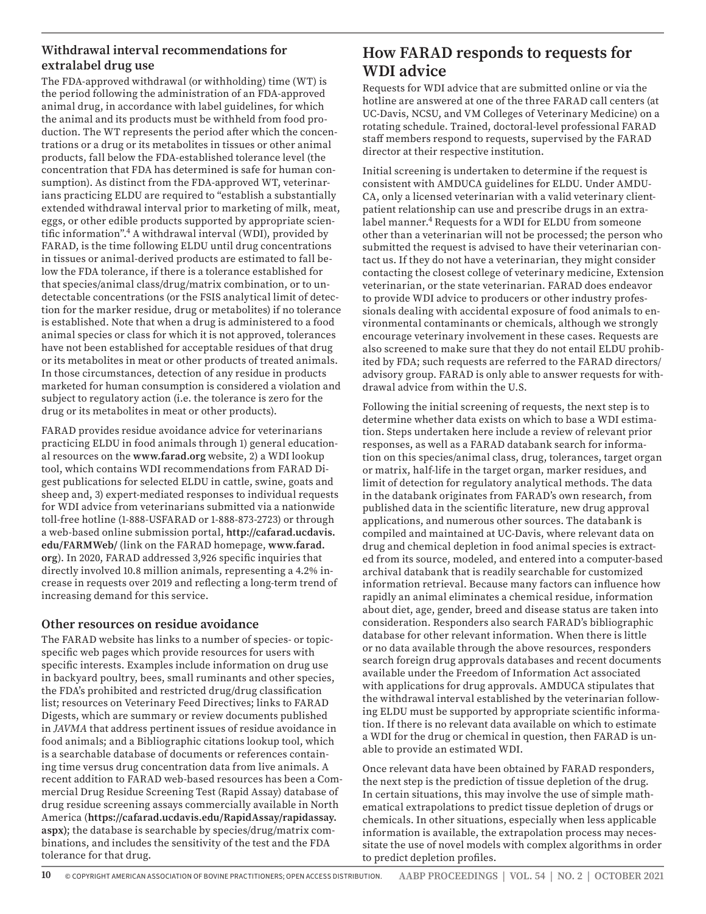## **Withdrawal interval recommendations for extralabel drug use**

The FDA-approved withdrawal (or withholding) time (WT) is the period following the administration of an FDA-approved animal drug, in accordance with label guidelines, for which the animal and its products must be withheld from food production. The WT represents the period after which the concentrations or a drug or its metabolites in tissues or other animal products, fall below the FDA-established tolerance level (the concentration that FDA has determined is safe for human consumption). As distinct from the FDA-approved WT, veterinarians practicing ELDU are required to "establish a substantially extended withdrawal interval prior to marketing of milk, meat, eggs, or other edible products supported by appropriate scientific information".4 A withdrawal interval (WDI), provided by FARAD, is the time following ELDU until drug concentrations in tissues or animal-derived products are estimated to fall below the FDA tolerance, if there is a tolerance established for that species/animal class/drug/matrix combination, or to undetectable concentrations (or the FSIS analytical limit of detection for the marker residue, drug or metabolites) if no tolerance is established. Note that when a drug is administered to a food animal species or class for which it is not approved, tolerances have not been established for acceptable residues of that drug or its metabolites in meat or other products of treated animals. In those circumstances, detection of any residue in products marketed for human consumption is considered a violation and subject to regulatory action (i.e. the tolerance is zero for the drug or its metabolites in meat or other products).

FARAD provides residue avoidance advice for veterinarians practicing ELDU in food animals through 1) general educational resources on the **www.farad.org** website, 2) a WDI lookup tool, which contains WDI recommendations from FARAD Digest publications for selected ELDU in cattle, swine, goats and sheep and, 3) expert-mediated responses to individual requests for WDI advice from veterinarians submitted via a nationwide toll-free hotline (1-888-USFARAD or 1-888-873-2723) or through a web-based online submission portal, **http://cafarad.ucdavis. edu/FARMWeb/** (link on the FARAD homepage, **www.farad. org**). In 2020, FARAD addressed 3,926 specific inquiries that directly involved 10.8 million animals, representing a 4.2% increase in requests over 2019 and reflecting a long-term trend of increasing demand for this service.

#### **Other resources on residue avoidance**

The FARAD website has links to a number of species- or topicspecific web pages which provide resources for users with specific interests. Examples include information on drug use in backyard poultry, bees, small ruminants and other species, the FDA's prohibited and restricted drug/drug classification list; resources on Veterinary Feed Directives; links to FARAD Digests, which are summary or review documents published in *JAVMA* that address pertinent issues of residue avoidance in food animals; and a Bibliographic citations lookup tool, which is a searchable database of documents or references containing time versus drug concentration data from live animals. A recent addition to FARAD web-based resources has been a Commercial Drug Residue Screening Test (Rapid Assay) database of drug residue screening assays commercially available in North America (**https://cafarad.ucdavis.edu/RapidAssay/rapidassay. aspx)**; the database is searchable by species/drug/matrix combinations, and includes the sensitivity of the test and the FDA tolerance for that drug.

## **How FARAD responds to requests for WDI advice**

Requests for WDI advice that are submitted online or via the hotline are answered at one of the three FARAD call centers (at UC-Davis, NCSU, and VM Colleges of Veterinary Medicine) on a rotating schedule. Trained, doctoral-level professional FARAD staff members respond to requests, supervised by the FARAD director at their respective institution.

Initial screening is undertaken to determine if the request is consistent with AMDUCA guidelines for ELDU. Under AMDU-CA, only a licensed veterinarian with a valid veterinary clientpatient relationship can use and prescribe drugs in an extralabel manner.<sup>4</sup> Requests for a WDI for ELDU from someone other than a veterinarian will not be processed; the person who submitted the request is advised to have their veterinarian contact us. If they do not have a veterinarian, they might consider contacting the closest college of veterinary medicine, Extension veterinarian, or the state veterinarian. FARAD does endeavor to provide WDI advice to producers or other industry professionals dealing with accidental exposure of food animals to environmental contaminants or chemicals, although we strongly encourage veterinary involvement in these cases. Requests are also screened to make sure that they do not entail ELDU prohibited by FDA; such requests are referred to the FARAD directors/ advisory group. FARAD is only able to answer requests for withdrawal advice from within the U.S.

Following the initial screening of requests, the next step is to determine whether data exists on which to base a WDI estimation. Steps undertaken here include a review of relevant prior responses, as well as a FARAD databank search for information on this species/animal class, drug, tolerances, target organ or matrix, half-life in the target organ, marker residues, and limit of detection for regulatory analytical methods. The data in the databank originates from FARAD's own research, from published data in the scientific literature, new drug approval applications, and numerous other sources. The databank is compiled and maintained at UC-Davis, where relevant data on drug and chemical depletion in food animal species is extracted from its source, modeled, and entered into a computer-based archival databank that is readily searchable for customized information retrieval. Because many factors can influence how rapidly an animal eliminates a chemical residue, information about diet, age, gender, breed and disease status are taken into consideration. Responders also search FARAD's bibliographic database for other relevant information. When there is little or no data available through the above resources, responders search foreign drug approvals databases and recent documents available under the Freedom of Information Act associated with applications for drug approvals. AMDUCA stipulates that the withdrawal interval established by the veterinarian following ELDU must be supported by appropriate scientific information. If there is no relevant data available on which to estimate a WDI for the drug or chemical in question, then FARAD is unable to provide an estimated WDI.

Once relevant data have been obtained by FARAD responders, the next step is the prediction of tissue depletion of the drug. In certain situations, this may involve the use of simple mathematical extrapolations to predict tissue depletion of drugs or chemicals. In other situations, especially when less applicable information is available, the extrapolation process may necessitate the use of novel models with complex algorithms in order to predict depletion profiles.